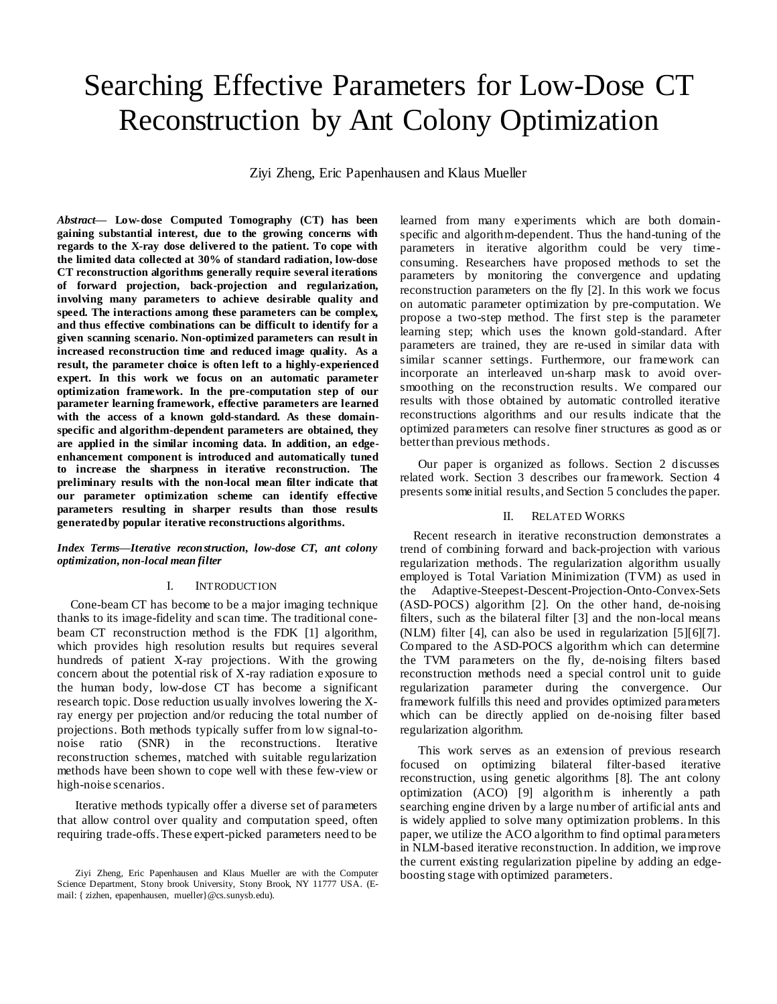# Searching Effective Parameters for Low-Dose CT Reconstruction by Ant Colony Optimization

Ziyi Zheng, Eric Papenhausen and Klaus Mueller

*Abstract***— Low-dose Computed Tomography (CT) has been gaining substantial interest, due to the growing concerns with regards to the X-ray dose delivered to the patient. To cope with the limited data collected at 30% of standard radiation, low-dose CT reconstruction algorithms generally require several iterations of forward projection, back-projection and regularization, involving many parameters to achieve desirable quality and speed. The interactions among these parameters can be complex, and thus effective combinations can be difficult to identify for a given scanning scenario. Non-optimized parameters can result in increased reconstruction time and reduced image quality. As a result, the parameter choice is often left to a highly-experienced expert. In this work we focus on an automatic parameter optimization framework. In the pre-computation step of our parameter learning framework, effective parameters are learned with the access of a known gold-standard. As these domainspecific and algorithm-dependent parameters are obtained, they are applied in the similar incoming data. In addition, an edgeenhancement component is introduced and automatically tuned to increase the sharpness in iterative reconstruction. The preliminary results with the non-local mean filter indicate that our parameter optimization scheme can identify effective parameters resulting in sharper results than those results generated by popular iterative reconstructions algorithms.** 

#### *Index Terms—Iterative reconstruction, low-dose CT, ant colony optimization, non-local mean filter*

#### I. INTRODUCTION

Cone-beam CT has become to be a major imaging technique thanks to its image-fidelity and scan time. The traditional conebeam CT reconstruction method is the FDK [\[1\]](#page-3-0) algorithm, which provides high resolution results but requires several hundreds of patient X-ray projections. With the growing concern about the potential risk of X-ray radiation exposure to the human body, low-dose CT has become a significant research topic. Dose reduction usually involves lowering the Xray energy per projection and/or reducing the total number of projections. Both methods typically suffer from low signal-tonoise ratio (SNR) in the reconstructions. Iterative reconstruction schemes, matched with suitable regularization methods have been shown to cope well with these few-view or high-noise scenarios.

Iterative methods typically offer a diverse set of parameters that allow control over quality and computation speed, often requiring trade-offs. These expert-picked parameters need to be

learned from many experiments which are both domainspecific and algorithm-dependent. Thus the hand-tuning of the parameters in iterative algorithm could be very timeconsuming. Researchers have proposed methods to set the parameters by monitoring the convergence and updating reconstruction parameters on the fly [\[2\].](#page-3-1) In this work we focus on automatic parameter optimization by pre-computation. We propose a two-step method. The first step is the parameter learning step; which uses the known gold-standard. After parameters are trained, they are re-used in similar data with similar scanner settings. Furthermore, our framework can incorporate an interleaved un-sharp mask to avoid oversmoothing on the reconstruction results. We compared our results with those obtained by automatic controlled iterative reconstructions algorithms and our results indicate that the optimized parameters can resolve finer structures as good as or better than previous methods.

Our paper is organized as follows. Section 2 discusses related work. Section 3 describes our framework. Section 4 presents some initial results, and Section 5 concludes the paper.

# II. RELATED WORKS

Recent research in iterative reconstruction demonstrates a trend of combining forward and back-projection with various regularization methods. The regularization algorithm usually employed is Total Variation Minimization (TVM) as used in the Adaptive-Steepest-Descent-Projection-Onto-Convex-Sets (ASD-POCS) algorithm [\[2\].](#page-3-1) On the other hand, de-noising filters, such as the bilateral filter [\[3\]](#page-3-2) and the non-local means (NLM) filter [\[4\],](#page-3-3) can also be used in regularization [\[5\]\[6\]](#page-3-4)[\[7\].](#page-3-5) Compared to the ASD-POCS algorithm which can determine the TVM parameters on the fly, de-noising filters based reconstruction methods need a special control unit to guide regularization parameter during the convergence. Our framework fulfills this need and provides optimized parameters which can be directly applied on de-noising filter based regularization algorithm.

This work serves as an extension of previous research focused on optimizing bilateral filter-based iterative reconstruction, using genetic algorithms [\[8\].](#page-3-6) The ant colony optimization (ACO) [\[9\]](#page-3-7) algorithm is inherently a path searching engine driven by a large number of artificial ants and is widely applied to solve many optimization problems. In this paper, we utilize the ACO algorithm to find optimal parameters in NLM-based iterative reconstruction. In addition, we improve the current existing regularization pipeline by adding an edgeboosting stage with optimized parameters.

Ziyi Zheng, Eric Papenhausen and Klaus Mueller are with the Computer Science Department, Stony brook University, Stony Brook, NY 11777 USA. (Email: { zizhen, epapenhausen, mueller}@cs.sunysb.edu).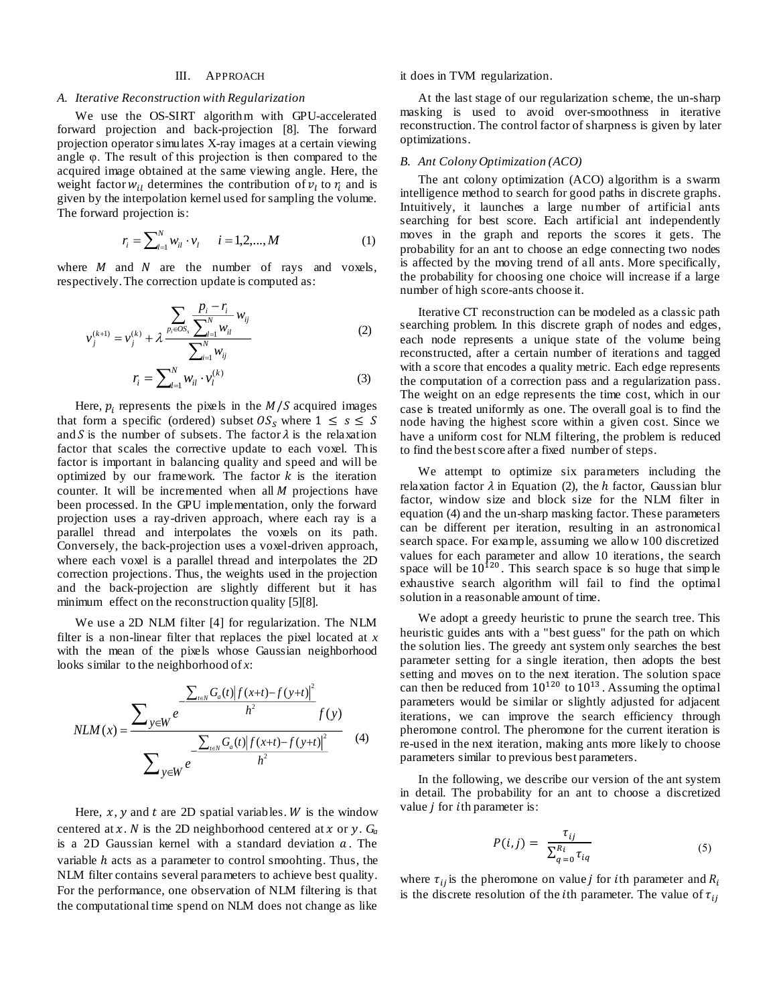### III. APPROACH

## *A. Iterative Reconstruction with Regularization*

We use the OS-SIRT algorithm with GPU-accelerated forward projection and back-projection [\[8\].](#page-3-6) The forward projection operator simulates X-ray images at a certain viewing angle φ. The result of this projection is then compared to the acquired image obtained at the same viewing angle. Here, the weight factor  $w_{il}$  determines the contribution of  $v_l$  to  $r_i$  and is given by the interpolation kernel used for sampling the volume. The forward projection is:

$$
r_i = \sum_{l=1}^{N} w_{il} \cdot v_l \qquad i = 1, 2, ..., M \tag{1}
$$

where  $M$  and  $N$  are the number of rays and voxels, respectively. The correction update is computed as:

$$
v_j^{(k+1)} = v_j^{(k)} + \lambda \frac{\sum_{p_i \in OS_s} \frac{p_i - r_i}{\sum_{l=1}^N w_{il}} w_{ij}}{\sum_{i=1}^N w_{ij}}
$$
(2)

$$
r_i = \sum_{l=1}^{N} w_{il} \cdot v_l^{(k)}
$$
(3)

Here,  $p_i$  represents the pixels in the  $M/S$  acquired images that form a specific (ordered) subset  $OS_s$  where  $1 \leq s \leq S$ and S is the number of subsets. The factor  $\lambda$  is the relaxation factor that scales the corrective update to each voxel. This factor is important in balancing quality and speed and will be optimized by our framework. The factor  $k$  is the iteration counter. It will be incremented when all  $M$  projections have been processed. In the GPU implementation, only the forward projection uses a ray-driven approach, where each ray is a parallel thread and interpolates the voxels on its path. Conversely, the back-projection uses a voxel-driven approach, where each voxel is a parallel thread and interpolates the 2D correction projections. Thus, the weights used in the projection and the back-projection are slightly different but it has minimum effect on the reconstruction quality [\[5\]\[8\].](#page-3-4) 

We use a 2D NLM filter [\[4\]](#page-3-3) for regularization. The NLM filter is a non-linear filter that replaces the pixel located at *x* with the mean of the pixels whose Gaussian neighborhood looks similar to the neighborhood of *x*:

$$
NLM(x) = \frac{\sum_{t \in N} G_a(t) |f(x+t) - f(y+t)|^2}{h^2} f(y)
$$

$$
\frac{\sum_{y \in W} e^{-\frac{\sum_{t \in N} G_a(t) |f(x+t) - f(y+t)|^2}{h^2}}}{\sum_{y \in W} e^{-\frac{h^2}{h^2}}}
$$
(4)

Here,  $x$ ,  $y$  and  $t$  are 2D spatial variables. W is the window centered at x. N is the 2D neighborhood centered at x or y.  $G_a$ is a 2D Gaussian kernel with a standard deviation  $a$ . The variable  $h$  acts as a parameter to control smoohting. Thus, the NLM filter contains several parameters to achieve best quality. For the performance, one observation of NLM filtering is that the computational time spend on NLM does not change as like

it does in TVM regularization.

At the last stage of our regularization scheme, the un-sharp masking is used to avoid over-smoothness in iterative reconstruction. The control factor of sharpness is given by later optimizations.

### *B. Ant Colony Optimization (ACO)*

The ant colony optimization (ACO) algorithm is a swarm intelligence method to search for good paths in discrete graphs. Intuitively, it launches a large number of artificial ants searching for best score. Each artificial ant independently moves in the graph and reports the scores it gets. The probability for an ant to choose an edge connecting two nodes is affected by the moving trend of all ants. More specifically, the probability for choosing one choice will increase if a large number of high score-ants choose it.

Iterative CT reconstruction can be modeled as a classic path searching problem. In this discrete graph of nodes and edges, each node represents a unique state of the volume being reconstructed, after a certain number of iterations and tagged with a score that encodes a quality metric. Each edge represents the computation of a correction pass and a regularization pass. The weight on an edge represents the time cost, which in our case is treated uniformly as one. The overall goal is to find the node having the highest score within a given cost. Since we have a uniform cost for NLM filtering, the problem is reduced to find the best score after a fixed number of steps.

We attempt to optimize six parameters including the relaxation factor  $\lambda$  in Equation (2), the h factor, Gaussian blur factor, window size and block size for the NLM filter in equation (4) and the un-sharp masking factor. These parameters can be different per iteration, resulting in an astronomical search space. For example, assuming we allow 100 discretized values for each parameter and allow 10 iterations, the search space will be  $10^{120}$ . This search space is so huge that simple exhaustive search algorithm will fail to find the optimal solution in a reasonable amount of time.

We adopt a greedy heuristic to prune the search tree. This heuristic guides ants with a "best guess" for the path on which the solution lies. The greedy ant system only searches the best parameter setting for a single iteration, then adopts the best setting and moves on to the next iteration. The solution space can then be reduced from  $10^{120}$  to  $10^{13}$ . Assuming the optimal parameters would be similar or slightly adjusted for adjacent iterations, we can improve the search efficiency through pheromone control. The pheromone for the current iteration is re-used in the next iteration, making ants more likely to choose parameters similar to previous best parameters.

In the following, we describe our version of the ant system in detail. The probability for an ant to choose a discretized value  $j$  for  $i$ th parameter is:

$$
P(i,j) = \frac{\tau_{ij}}{\sum_{q=0}^{R_i} \tau_{iq}}
$$
 (5)

where  $\tau_{ii}$  is the pheromone on value *j* for *i*th parameter and  $R_i$ is the discrete resolution of the *i*th parameter. The value of  $\tau_{ii}$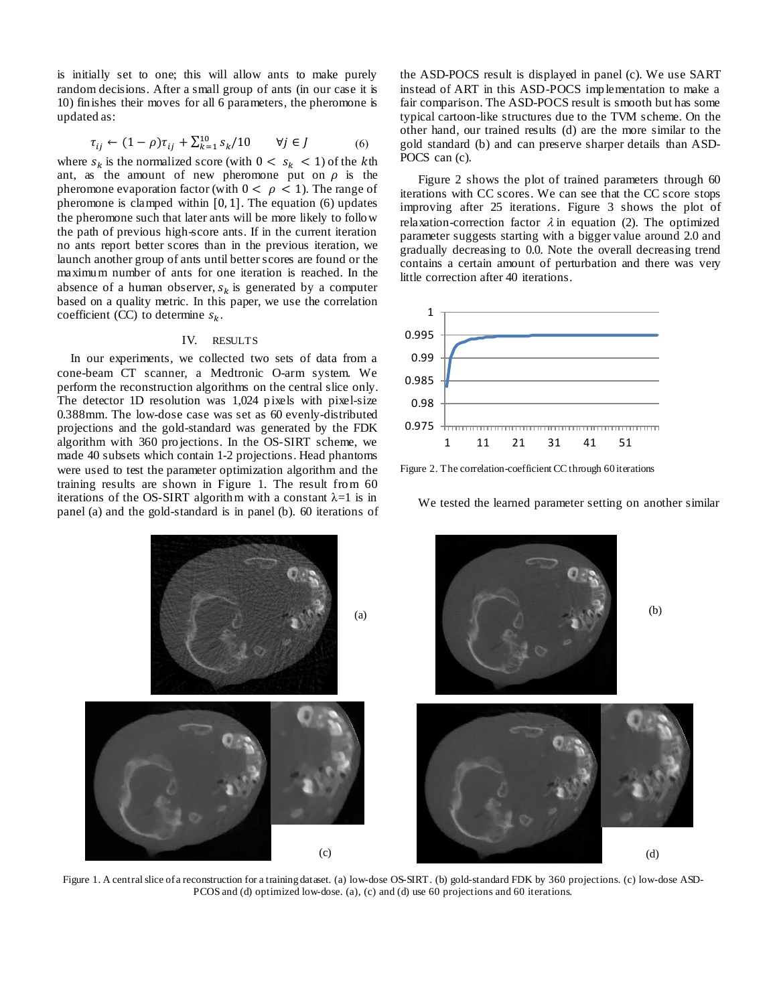is initially set to one; this will allow ants to make purely random decisions. After a small group of ants (in our case it is 10) finishes their moves for all 6 parameters, the pheromone is updated as:

$$
\tau_{ij} \leftarrow (1 - \rho)\tau_{ij} + \sum_{k=1}^{10} s_k / 10 \qquad \forall j \in J \tag{6}
$$

where  $s_k$  is the normalized score (with  $0 < s_k < 1$ ) of the kth ant, as the amount of new pheromone put on  $\rho$  is the pheromone evaporation factor (with  $0 < \rho < 1$ ). The range of pheromone is clamped within  $[0, 1]$ . The equation  $(6)$  updates the pheromone such that later ants will be more likely to follow the path of previous high-score ants. If in the current iteration no ants report better scores than in the previous iteration, we launch another group of ants until better scores are found or the maximum number of ants for one iteration is reached. In the absence of a human observer,  $s_k$  is generated by a computer based on a quality metric. In this paper, we use the correlation coefficient (CC) to determine  $s_k$ .

### IV. RESULTS

In our experiments, we collected two sets of data from a cone-beam CT scanner, a Medtronic O-arm system. We perform the reconstruction algorithms on the central slice only. The detector 1D resolution was 1,024 pixels with pixel-size 0.388mm. The low-dose case was set as 60 evenly-distributed projections and the gold-standard was generated by the FDK algorithm with 360 projections. In the OS-SIRT scheme, we made 40 subsets which contain 1-2 projections. Head phantoms were used to test the parameter optimization algorithm and the training results are shown in Figure 1. The result from 60 iterations of the OS-SIRT algorithm with a constant  $\lambda=1$  is in panel (a) and the gold-standard is in panel (b). 60 iterations of the ASD-POCS result is displayed in panel (c). We use SART instead of ART in this ASD-POCS implementation to make a fair comparison. The ASD-POCS result is smooth but has some typical cartoon-like structures due to the TVM scheme. On the other hand, our trained results (d) are the more similar to the gold standard (b) and can preserve sharper details than ASD-POCS can (c).

Figure 2 shows the plot of trained parameters through 60 iterations with CC scores. We can see that the CC score stops improving after 25 iterations. Figure 3 shows the plot of relaxation-correction factor  $\lambda$  in equation (2). The optimized parameter suggests starting with a bigger value around 2.0 and gradually decreasing to 0.0. Note the overall decreasing trend contains a certain amount of perturbation and there was very little correction after 40 iterations.



Figure 2. The correlation-coefficient CC through 60 iterations





Figure 1. A central slice of a reconstruction for a training dataset. (a) low-dose OS-SIRT. (b) gold-standard FDK by 360 projections. (c) low-dose ASD-PCOS and (d) optimized low-dose. (a), (c) and (d) use 60 projections and 60 iterations.